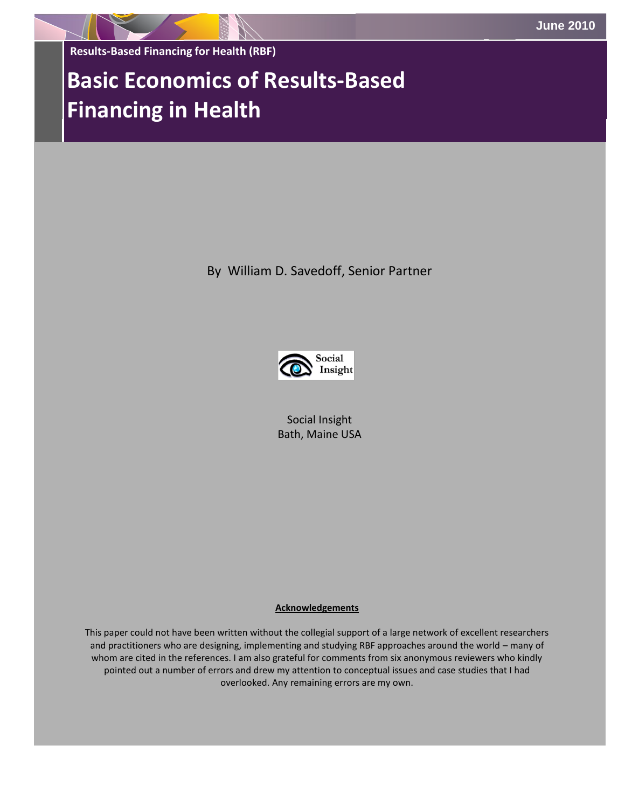**Results-Based Financing for Health (RBF)** 

# **Basic Economics of Results-Based Financing in Health**

By William D. Savedoff, Senior Partner



Social Insight Bath, Maine USA

#### **Acknowledgements**

This paper could not have been written without the collegial support of a large network of excellent researchers and practitioners who are designing, implementing and studying RBF approaches around the world – many of whom are cited in the references. I am also grateful for comments from six anonymous reviewers who kindly pointed out a number of errors and drew my attention to conceptual issues and case studies that I had overlooked. Any remaining errors are my own.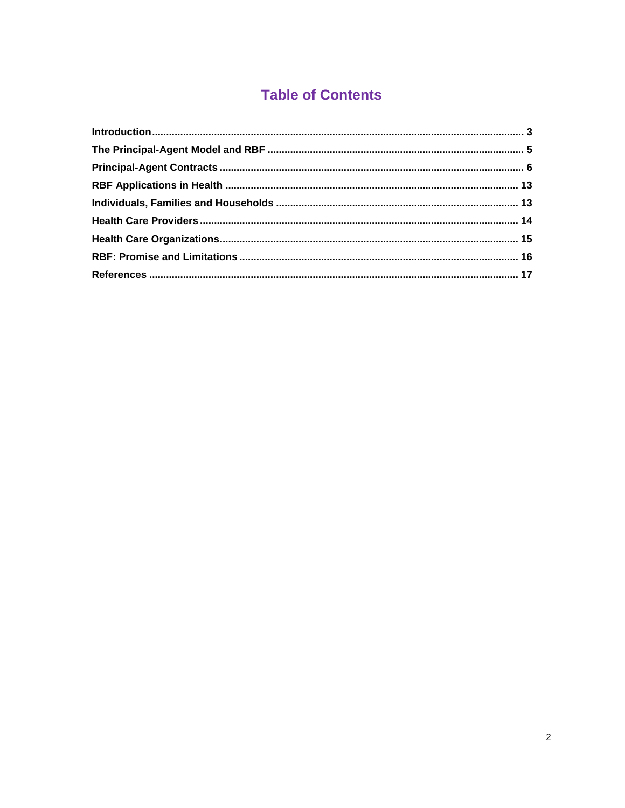# **Table of Contents**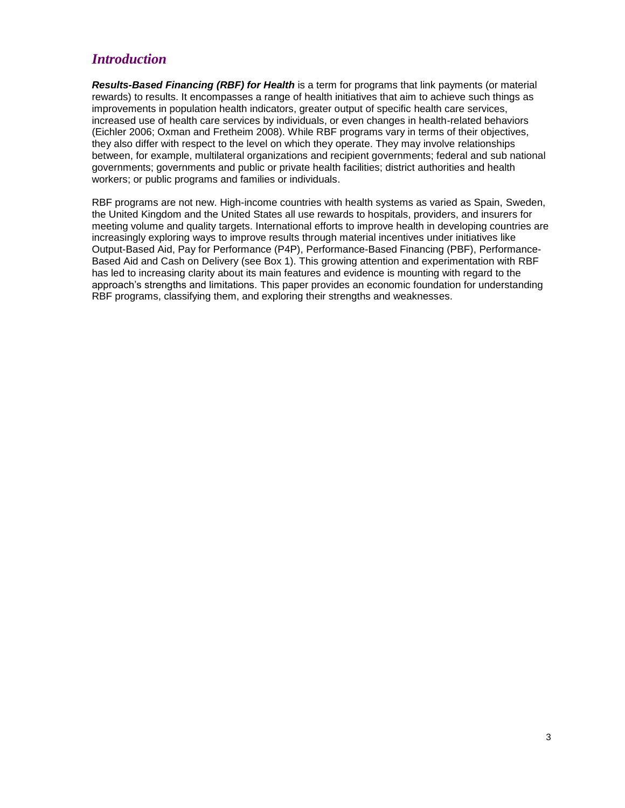# <span id="page-2-0"></span>*Introduction*

*Results-Based Financing (RBF) for Health* is a term for programs that link payments (or material rewards) to results. It encompasses a range of health initiatives that aim to achieve such things as improvements in population health indicators, greater output of specific health care services, increased use of health care services by individuals, or even changes in health-related behaviors (Eichler 2006; Oxman and Fretheim 2008). While RBF programs vary in terms of their objectives, they also differ with respect to the level on which they operate. They may involve relationships between, for example, multilateral organizations and recipient governments; federal and sub national governments; governments and public or private health facilities; district authorities and health workers; or public programs and families or individuals.

RBF programs are not new. High-income countries with health systems as varied as Spain, Sweden, the United Kingdom and the United States all use rewards to hospitals, providers, and insurers for meeting volume and quality targets. International efforts to improve health in developing countries are increasingly exploring ways to improve results through material incentives under initiatives like Output-Based Aid, Pay for Performance (P4P), Performance-Based Financing (PBF), Performance-Based Aid and Cash on Delivery (see Box 1). This growing attention and experimentation with RBF has led to increasing clarity about its main features and evidence is mounting with regard to the approach"s strengths and limitations. This paper provides an economic foundation for understanding RBF programs, classifying them, and exploring their strengths and weaknesses.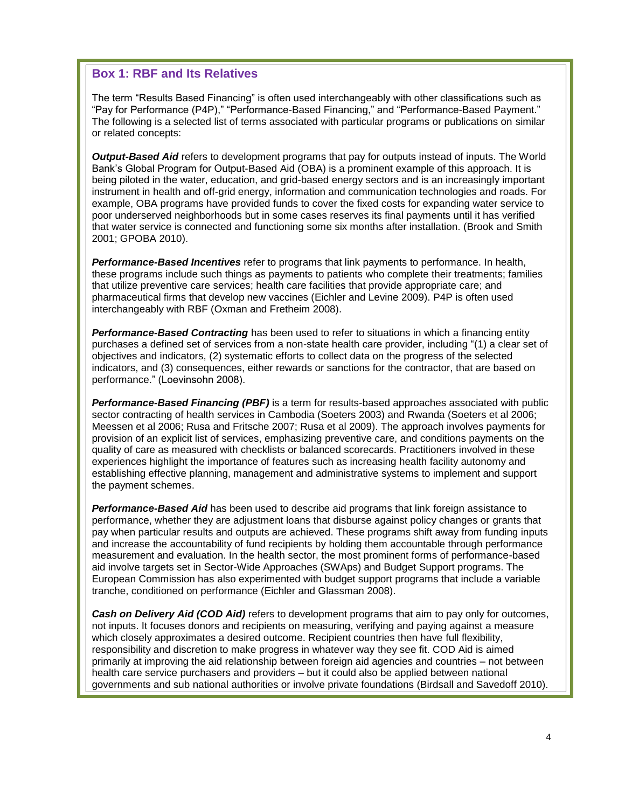### **Box 1: RBF and Its Relatives**

The term "Results Based Financing" is often used interchangeably with other classifications such as "Pay for Performance (P4P)," "Performance-Based Financing," and "Performance-Based Payment." The following is a selected list of terms associated with particular programs or publications on similar or related concepts:

*Output-Based Aid* refers to development programs that pay for outputs instead of inputs. The World Bank"s Global Program for Output-Based Aid (OBA) is a prominent example of this approach. It is being piloted in the water, education, and grid-based energy sectors and is an increasingly important instrument in health and off-grid energy, information and communication technologies and roads. For example, OBA programs have provided funds to cover the fixed costs for expanding water service to poor underserved neighborhoods but in some cases reserves its final payments until it has verified that water service is connected and functioning some six months after installation. (Brook and Smith 2001; GPOBA 2010).

*Performance-Based Incentives* refer to programs that link payments to performance. In health, these programs include such things as payments to patients who complete their treatments; families that utilize preventive care services; health care facilities that provide appropriate care; and pharmaceutical firms that develop new vaccines (Eichler and Levine 2009). P4P is often used interchangeably with RBF (Oxman and Fretheim 2008).

*Performance-Based Contracting* has been used to refer to situations in which a financing entity purchases a defined set of services from a non-state health care provider, including "(1) a clear set of objectives and indicators, (2) systematic efforts to collect data on the progress of the selected indicators, and (3) consequences, either rewards or sanctions for the contractor, that are based on performance." (Loevinsohn 2008).

*Performance-Based Financing (PBF)* is a term for results-based approaches associated with public sector contracting of health services in Cambodia (Soeters 2003) and Rwanda (Soeters et al 2006; Meessen et al 2006; Rusa and Fritsche 2007; Rusa et al 2009). The approach involves payments for provision of an explicit list of services, emphasizing preventive care, and conditions payments on the quality of care as measured with checklists or balanced scorecards. Practitioners involved in these experiences highlight the importance of features such as increasing health facility autonomy and establishing effective planning, management and administrative systems to implement and support the payment schemes.

*Performance-Based Aid* has been used to describe aid programs that link foreign assistance to performance, whether they are adjustment loans that disburse against policy changes or grants that pay when particular results and outputs are achieved. These programs shift away from funding inputs and increase the accountability of fund recipients by holding them accountable through performance measurement and evaluation. In the health sector, the most prominent forms of performance-based aid involve targets set in Sector-Wide Approaches (SWAps) and Budget Support programs. The European Commission has also experimented with budget support programs that include a variable tranche, conditioned on performance (Eichler and Glassman 2008).

*Cash on Delivery Aid (COD Aid)* refers to development programs that aim to pay only for outcomes, not inputs. It focuses donors and recipients on measuring, verifying and paying against a measure which closely approximates a desired outcome. Recipient countries then have full flexibility, responsibility and discretion to make progress in whatever way they see fit. COD Aid is aimed primarily at improving the aid relationship between foreign aid agencies and countries – not between health care service purchasers and providers – but it could also be applied between national governments and sub national authorities or involve private foundations (Birdsall and Savedoff 2010).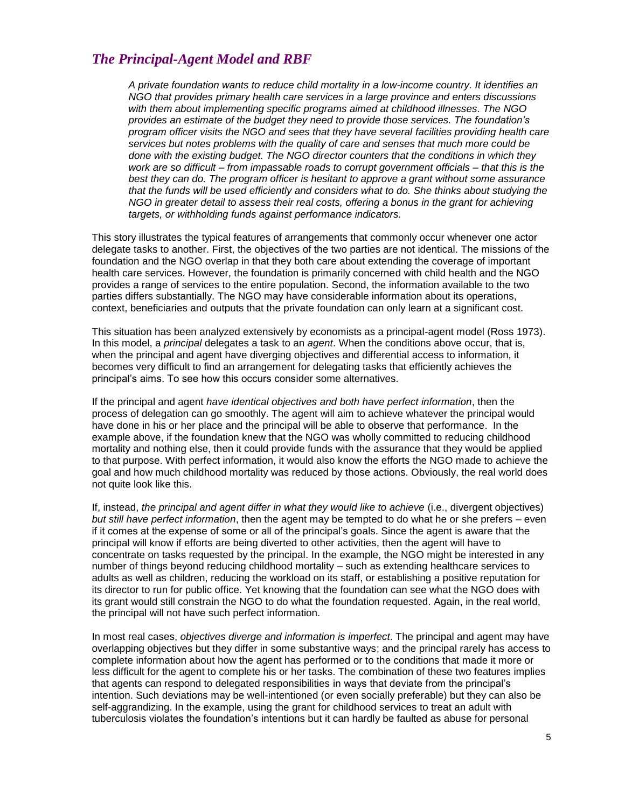# <span id="page-4-0"></span>*The Principal-Agent Model and RBF*

*A private foundation wants to reduce child mortality in a low-income country. It identifies an NGO that provides primary health care services in a large province and enters discussions with them about implementing specific programs aimed at childhood illnesses. The NGO provides an estimate of the budget they need to provide those services. The foundation's program officer visits the NGO and sees that they have several facilities providing health care services but notes problems with the quality of care and senses that much more could be done with the existing budget. The NGO director counters that the conditions in which they work are so difficult – from impassable roads to corrupt government officials – that this is the best they can do. The program officer is hesitant to approve a grant without some assurance that the funds will be used efficiently and considers what to do. She thinks about studying the NGO in greater detail to assess their real costs, offering a bonus in the grant for achieving targets, or withholding funds against performance indicators.*

This story illustrates the typical features of arrangements that commonly occur whenever one actor delegate tasks to another. First, the objectives of the two parties are not identical. The missions of the foundation and the NGO overlap in that they both care about extending the coverage of important health care services. However, the foundation is primarily concerned with child health and the NGO provides a range of services to the entire population. Second, the information available to the two parties differs substantially. The NGO may have considerable information about its operations, context, beneficiaries and outputs that the private foundation can only learn at a significant cost.

This situation has been analyzed extensively by economists as a principal-agent model (Ross 1973). In this model, a *principal* delegates a task to an *agent*. When the conditions above occur, that is, when the principal and agent have diverging objectives and differential access to information, it becomes very difficult to find an arrangement for delegating tasks that efficiently achieves the principal"s aims. To see how this occurs consider some alternatives.

If the principal and agent *have identical objectives and both have perfect information*, then the process of delegation can go smoothly. The agent will aim to achieve whatever the principal would have done in his or her place and the principal will be able to observe that performance. In the example above, if the foundation knew that the NGO was wholly committed to reducing childhood mortality and nothing else, then it could provide funds with the assurance that they would be applied to that purpose. With perfect information, it would also know the efforts the NGO made to achieve the goal and how much childhood mortality was reduced by those actions. Obviously, the real world does not quite look like this.

If, instead, *the principal and agent differ in what they would like to achieve* (i.e., divergent objectives) *but still have perfect information*, then the agent may be tempted to do what he or she prefers – even if it comes at the expense of some or all of the principal"s goals. Since the agent is aware that the principal will know if efforts are being diverted to other activities, then the agent will have to concentrate on tasks requested by the principal. In the example, the NGO might be interested in any number of things beyond reducing childhood mortality – such as extending healthcare services to adults as well as children, reducing the workload on its staff, or establishing a positive reputation for its director to run for public office. Yet knowing that the foundation can see what the NGO does with its grant would still constrain the NGO to do what the foundation requested. Again, in the real world, the principal will not have such perfect information.

In most real cases, *objectives diverge and information is imperfect*. The principal and agent may have overlapping objectives but they differ in some substantive ways; and the principal rarely has access to complete information about how the agent has performed or to the conditions that made it more or less difficult for the agent to complete his or her tasks. The combination of these two features implies that agents can respond to delegated responsibilities in ways that deviate from the principal"s intention. Such deviations may be well-intentioned (or even socially preferable) but they can also be self-aggrandizing. In the example, using the grant for childhood services to treat an adult with tuberculosis violates the foundation"s intentions but it can hardly be faulted as abuse for personal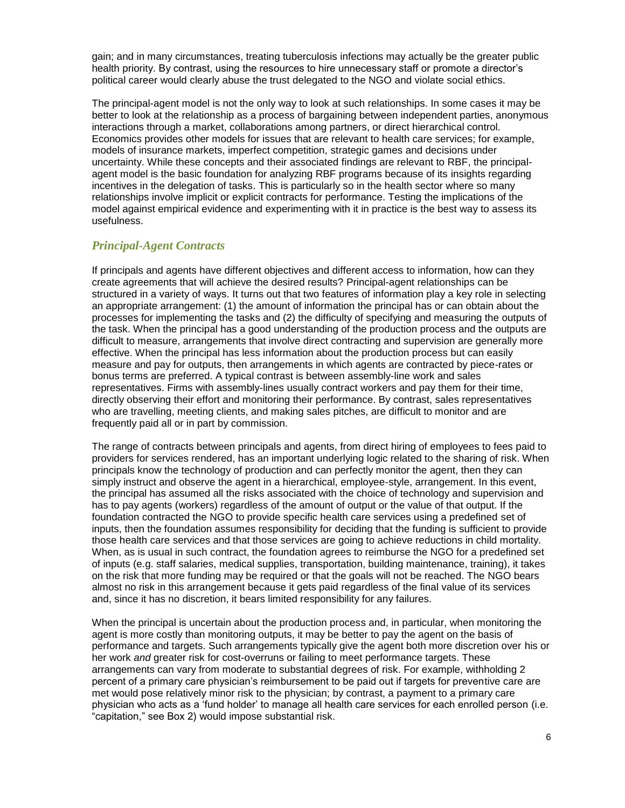gain; and in many circumstances, treating tuberculosis infections may actually be the greater public health priority. By contrast, using the resources to hire unnecessary staff or promote a director's political career would clearly abuse the trust delegated to the NGO and violate social ethics.

The principal-agent model is not the only way to look at such relationships. In some cases it may be better to look at the relationship as a process of bargaining between independent parties, anonymous interactions through a market, collaborations among partners, or direct hierarchical control. Economics provides other models for issues that are relevant to health care services; for example, models of insurance markets, imperfect competition, strategic games and decisions under uncertainty. While these concepts and their associated findings are relevant to RBF, the principalagent model is the basic foundation for analyzing RBF programs because of its insights regarding incentives in the delegation of tasks. This is particularly so in the health sector where so many relationships involve implicit or explicit contracts for performance. Testing the implications of the model against empirical evidence and experimenting with it in practice is the best way to assess its usefulness.

### <span id="page-5-0"></span>*Principal-Agent Contracts*

If principals and agents have different objectives and different access to information, how can they create agreements that will achieve the desired results? Principal-agent relationships can be structured in a variety of ways. It turns out that two features of information play a key role in selecting an appropriate arrangement: (1) the amount of information the principal has or can obtain about the processes for implementing the tasks and (2) the difficulty of specifying and measuring the outputs of the task. When the principal has a good understanding of the production process and the outputs are difficult to measure, arrangements that involve direct contracting and supervision are generally more effective. When the principal has less information about the production process but can easily measure and pay for outputs, then arrangements in which agents are contracted by piece-rates or bonus terms are preferred. A typical contrast is between assembly-line work and sales representatives. Firms with assembly-lines usually contract workers and pay them for their time, directly observing their effort and monitoring their performance. By contrast, sales representatives who are travelling, meeting clients, and making sales pitches, are difficult to monitor and are frequently paid all or in part by commission.

The range of contracts between principals and agents, from direct hiring of employees to fees paid to providers for services rendered, has an important underlying logic related to the sharing of risk. When principals know the technology of production and can perfectly monitor the agent, then they can simply instruct and observe the agent in a hierarchical, employee-style, arrangement. In this event, the principal has assumed all the risks associated with the choice of technology and supervision and has to pay agents (workers) regardless of the amount of output or the value of that output. If the foundation contracted the NGO to provide specific health care services using a predefined set of inputs, then the foundation assumes responsibility for deciding that the funding is sufficient to provide those health care services and that those services are going to achieve reductions in child mortality. When, as is usual in such contract, the foundation agrees to reimburse the NGO for a predefined set of inputs (e.g. staff salaries, medical supplies, transportation, building maintenance, training), it takes on the risk that more funding may be required or that the goals will not be reached. The NGO bears almost no risk in this arrangement because it gets paid regardless of the final value of its services and, since it has no discretion, it bears limited responsibility for any failures.

When the principal is uncertain about the production process and, in particular, when monitoring the agent is more costly than monitoring outputs, it may be better to pay the agent on the basis of performance and targets. Such arrangements typically give the agent both more discretion over his or her work *and* greater risk for cost-overruns or failing to meet performance targets. These arrangements can vary from moderate to substantial degrees of risk. For example, withholding 2 percent of a primary care physician"s reimbursement to be paid out if targets for preventive care are met would pose relatively minor risk to the physician; by contrast, a payment to a primary care physician who acts as a "fund holder" to manage all health care services for each enrolled person (i.e. "capitation," see Box 2) would impose substantial risk.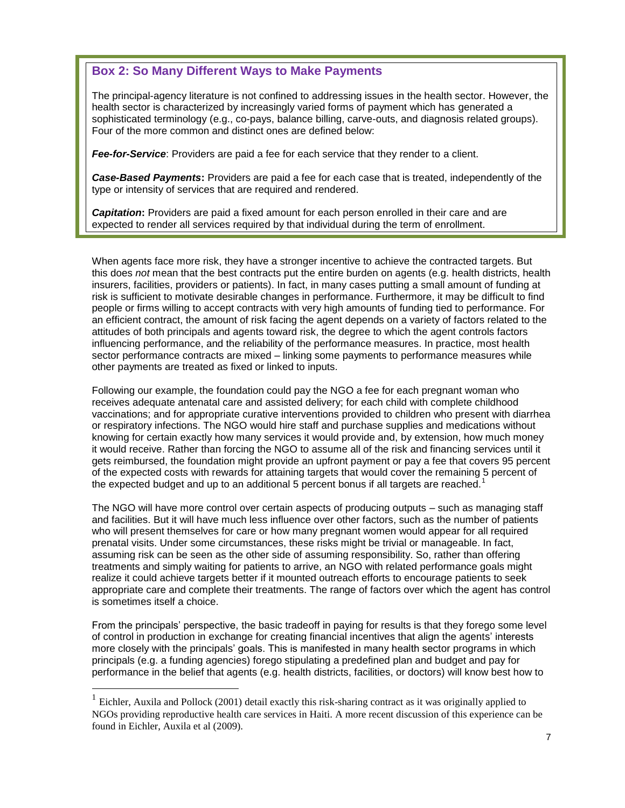### **Box 2: So Many Different Ways to Make Payments**

The principal-agency literature is not confined to addressing issues in the health sector. However, the health sector is characterized by increasingly varied forms of payment which has generated a sophisticated terminology (e.g., co-pays, balance billing, carve-outs, and diagnosis related groups). Four of the more common and distinct ones are defined below:

*Fee-for-Service*: Providers are paid a fee for each service that they render to a client.

*Case-Based Payments***:** Providers are paid a fee for each case that is treated, independently of the type or intensity of services that are required and rendered.

*Capitation***:** Providers are paid a fixed amount for each person enrolled in their care and are expected to render all services required by that individual during the term of enrollment.

When agents face more risk, they have a stronger incentive to achieve the contracted targets. But this does *not* mean that the best contracts put the entire burden on agents (e.g. health districts, health insurers, facilities, providers or patients). In fact, in many cases putting a small amount of funding at risk is sufficient to motivate desirable changes in performance. Furthermore, it may be difficult to find people or firms willing to accept contracts with very high amounts of funding tied to performance. For an efficient contract, the amount of risk facing the agent depends on a variety of factors related to the attitudes of both principals and agents toward risk, the degree to which the agent controls factors influencing performance, and the reliability of the performance measures. In practice, most health sector performance contracts are mixed – linking some payments to performance measures while other payments are treated as fixed or linked to inputs.

Following our example, the foundation could pay the NGO a fee for each pregnant woman who receives adequate antenatal care and assisted delivery; for each child with complete childhood vaccinations; and for appropriate curative interventions provided to children who present with diarrhea or respiratory infections. The NGO would hire staff and purchase supplies and medications without knowing for certain exactly how many services it would provide and, by extension, how much money it would receive. Rather than forcing the NGO to assume all of the risk and financing services until it gets reimbursed, the foundation might provide an upfront payment or pay a fee that covers 95 percent of the expected costs with rewards for attaining targets that would cover the remaining 5 percent of the expected budget and up to an additional 5 percent bonus if all targets are reached.<sup>1</sup>

The NGO will have more control over certain aspects of producing outputs – such as managing staff and facilities. But it will have much less influence over other factors, such as the number of patients who will present themselves for care or how many pregnant women would appear for all required prenatal visits. Under some circumstances, these risks might be trivial or manageable. In fact, assuming risk can be seen as the other side of assuming responsibility. So, rather than offering treatments and simply waiting for patients to arrive, an NGO with related performance goals might realize it could achieve targets better if it mounted outreach efforts to encourage patients to seek appropriate care and complete their treatments. The range of factors over which the agent has control is sometimes itself a choice.

From the principals" perspective, the basic tradeoff in paying for results is that they forego some level of control in production in exchange for creating financial incentives that align the agents" interests more closely with the principals" goals. This is manifested in many health sector programs in which principals (e.g. a funding agencies) forego stipulating a predefined plan and budget and pay for performance in the belief that agents (e.g. health districts, facilities, or doctors) will know best how to

 $\overline{a}$ 

<sup>&</sup>lt;sup>1</sup> Eichler, Auxila and Pollock (2001) detail exactly this risk-sharing contract as it was originally applied to NGOs providing reproductive health care services in Haiti. A more recent discussion of this experience can be found in Eichler, Auxila et al (2009).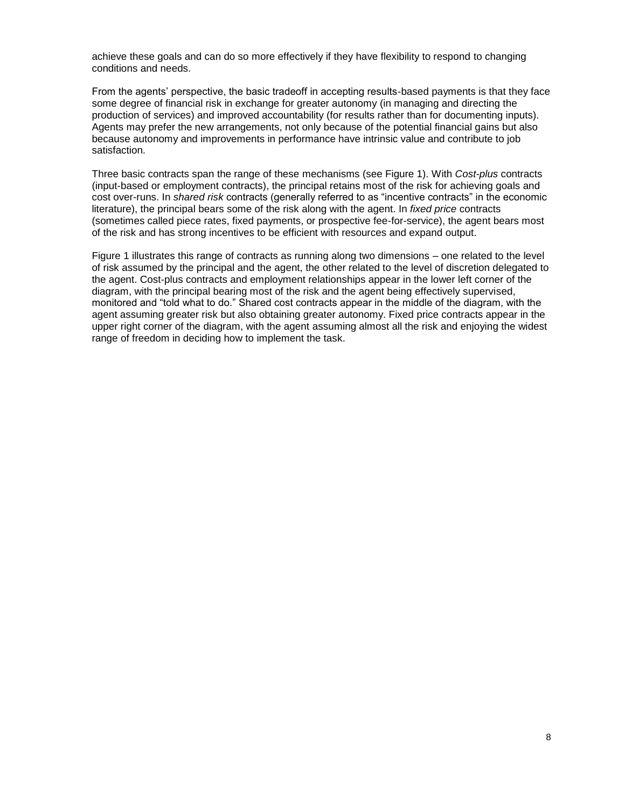achieve these goals and can do so more effectively if they have flexibility to respond to changing conditions and needs.

From the agents" perspective, the basic tradeoff in accepting results-based payments is that they face some degree of financial risk in exchange for greater autonomy (in managing and directing the production of services) and improved accountability (for results rather than for documenting inputs). Agents may prefer the new arrangements, not only because of the potential financial gains but also because autonomy and improvements in performance have intrinsic value and contribute to job satisfaction.

Three basic contracts span the range of these mechanisms (see Figure 1). With *Cost-plus* contracts (input-based or employment contracts), the principal retains most of the risk for achieving goals and cost over-runs. In *shared risk* contracts (generally referred to as "incentive contracts" in the economic literature), the principal bears some of the risk along with the agent. In *fixed price* contracts (sometimes called piece rates, fixed payments, or prospective fee-for-service), the agent bears most of the risk and has strong incentives to be efficient with resources and expand output.

Figure 1 illustrates this range of contracts as running along two dimensions – one related to the level of risk assumed by the principal and the agent, the other related to the level of discretion delegated to the agent. Cost-plus contracts and employment relationships appear in the lower left corner of the diagram, with the principal bearing most of the risk and the agent being effectively supervised, monitored and "told what to do." Shared cost contracts appear in the middle of the diagram, with the agent assuming greater risk but also obtaining greater autonomy. Fixed price contracts appear in the upper right corner of the diagram, with the agent assuming almost all the risk and enjoying the widest range of freedom in deciding how to implement the task.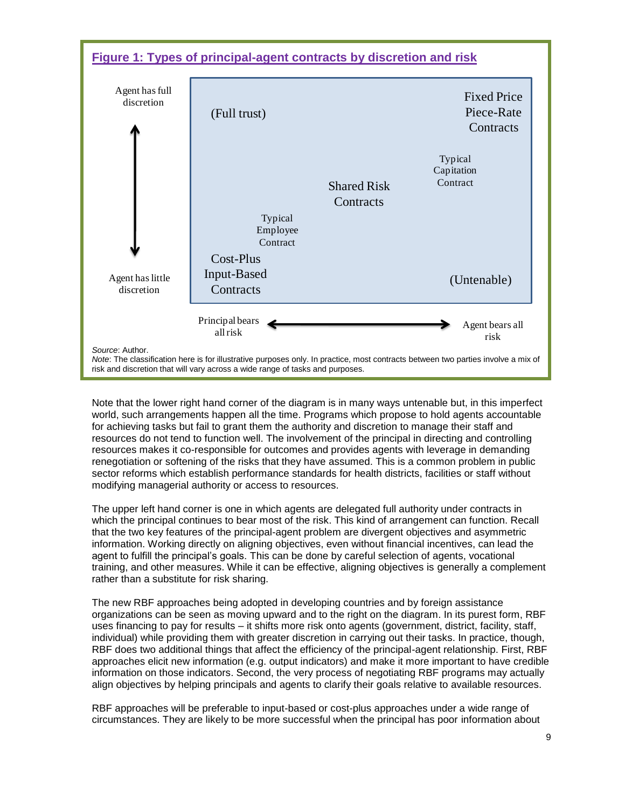

Note that the lower right hand corner of the diagram is in many ways untenable but, in this imperfect world, such arrangements happen all the time. Programs which propose to hold agents accountable for achieving tasks but fail to grant them the authority and discretion to manage their staff and resources do not tend to function well. The involvement of the principal in directing and controlling resources makes it co-responsible for outcomes and provides agents with leverage in demanding renegotiation or softening of the risks that they have assumed. This is a common problem in public sector reforms which establish performance standards for health districts, facilities or staff without modifying managerial authority or access to resources.

The upper left hand corner is one in which agents are delegated full authority under contracts in which the principal continues to bear most of the risk. This kind of arrangement can function. Recall that the two key features of the principal-agent problem are divergent objectives and asymmetric information. Working directly on aligning objectives, even without financial incentives, can lead the agent to fulfill the principal"s goals. This can be done by careful selection of agents, vocational training, and other measures. While it can be effective, aligning objectives is generally a complement rather than a substitute for risk sharing.

The new RBF approaches being adopted in developing countries and by foreign assistance organizations can be seen as moving upward and to the right on the diagram. In its purest form, RBF uses financing to pay for results – it shifts more risk onto agents (government, district, facility, staff, individual) while providing them with greater discretion in carrying out their tasks. In practice, though, RBF does two additional things that affect the efficiency of the principal-agent relationship. First, RBF approaches elicit new information (e.g. output indicators) and make it more important to have credible information on those indicators. Second, the very process of negotiating RBF programs may actually align objectives by helping principals and agents to clarify their goals relative to available resources.

RBF approaches will be preferable to input-based or cost-plus approaches under a wide range of circumstances. They are likely to be more successful when the principal has poor information about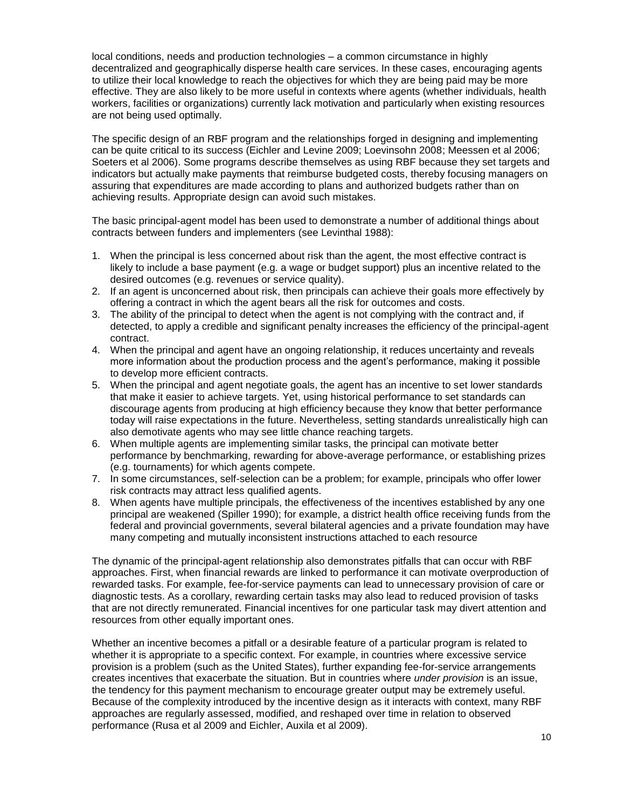local conditions, needs and production technologies – a common circumstance in highly decentralized and geographically disperse health care services. In these cases, encouraging agents to utilize their local knowledge to reach the objectives for which they are being paid may be more effective. They are also likely to be more useful in contexts where agents (whether individuals, health workers, facilities or organizations) currently lack motivation and particularly when existing resources are not being used optimally.

The specific design of an RBF program and the relationships forged in designing and implementing can be quite critical to its success (Eichler and Levine 2009; Loevinsohn 2008; Meessen et al 2006; Soeters et al 2006). Some programs describe themselves as using RBF because they set targets and indicators but actually make payments that reimburse budgeted costs, thereby focusing managers on assuring that expenditures are made according to plans and authorized budgets rather than on achieving results. Appropriate design can avoid such mistakes.

The basic principal-agent model has been used to demonstrate a number of additional things about contracts between funders and implementers (see Levinthal 1988):

- 1. When the principal is less concerned about risk than the agent, the most effective contract is likely to include a base payment (e.g. a wage or budget support) plus an incentive related to the desired outcomes (e.g. revenues or service quality).
- 2. If an agent is unconcerned about risk, then principals can achieve their goals more effectively by offering a contract in which the agent bears all the risk for outcomes and costs.
- 3. The ability of the principal to detect when the agent is not complying with the contract and, if detected, to apply a credible and significant penalty increases the efficiency of the principal-agent contract.
- 4. When the principal and agent have an ongoing relationship, it reduces uncertainty and reveals more information about the production process and the agent"s performance, making it possible to develop more efficient contracts.
- 5. When the principal and agent negotiate goals, the agent has an incentive to set lower standards that make it easier to achieve targets. Yet, using historical performance to set standards can discourage agents from producing at high efficiency because they know that better performance today will raise expectations in the future. Nevertheless, setting standards unrealistically high can also demotivate agents who may see little chance reaching targets.
- 6. When multiple agents are implementing similar tasks, the principal can motivate better performance by benchmarking, rewarding for above-average performance, or establishing prizes (e.g. tournaments) for which agents compete.
- 7. In some circumstances, self-selection can be a problem; for example, principals who offer lower risk contracts may attract less qualified agents.
- 8. When agents have multiple principals, the effectiveness of the incentives established by any one principal are weakened (Spiller 1990); for example, a district health office receiving funds from the federal and provincial governments, several bilateral agencies and a private foundation may have many competing and mutually inconsistent instructions attached to each resource

The dynamic of the principal-agent relationship also demonstrates pitfalls that can occur with RBF approaches. First, when financial rewards are linked to performance it can motivate overproduction of rewarded tasks. For example, fee-for-service payments can lead to unnecessary provision of care or diagnostic tests. As a corollary, rewarding certain tasks may also lead to reduced provision of tasks that are not directly remunerated. Financial incentives for one particular task may divert attention and resources from other equally important ones.

Whether an incentive becomes a pitfall or a desirable feature of a particular program is related to whether it is appropriate to a specific context. For example, in countries where excessive service provision is a problem (such as the United States), further expanding fee-for-service arrangements creates incentives that exacerbate the situation. But in countries where *under provision* is an issue, the tendency for this payment mechanism to encourage greater output may be extremely useful. Because of the complexity introduced by the incentive design as it interacts with context, many RBF approaches are regularly assessed, modified, and reshaped over time in relation to observed performance (Rusa et al 2009 and Eichler, Auxila et al 2009).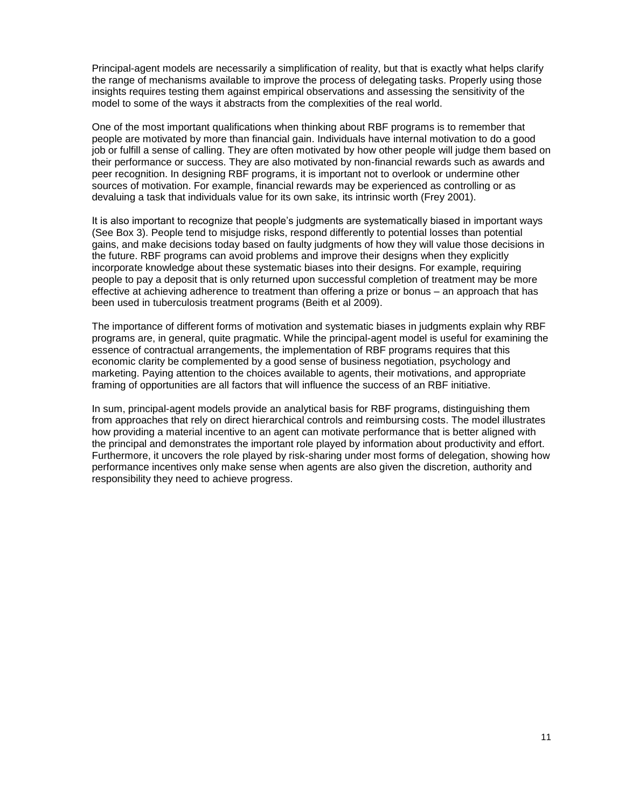Principal-agent models are necessarily a simplification of reality, but that is exactly what helps clarify the range of mechanisms available to improve the process of delegating tasks. Properly using those insights requires testing them against empirical observations and assessing the sensitivity of the model to some of the ways it abstracts from the complexities of the real world.

One of the most important qualifications when thinking about RBF programs is to remember that people are motivated by more than financial gain. Individuals have internal motivation to do a good job or fulfill a sense of calling. They are often motivated by how other people will judge them based on their performance or success. They are also motivated by non-financial rewards such as awards and peer recognition. In designing RBF programs, it is important not to overlook or undermine other sources of motivation. For example, financial rewards may be experienced as controlling or as devaluing a task that individuals value for its own sake, its intrinsic worth (Frey 2001).

It is also important to recognize that people"s judgments are systematically biased in important ways (See Box 3). People tend to misjudge risks, respond differently to potential losses than potential gains, and make decisions today based on faulty judgments of how they will value those decisions in the future. RBF programs can avoid problems and improve their designs when they explicitly incorporate knowledge about these systematic biases into their designs. For example, requiring people to pay a deposit that is only returned upon successful completion of treatment may be more effective at achieving adherence to treatment than offering a prize or bonus – an approach that has been used in tuberculosis treatment programs (Beith et al 2009).

The importance of different forms of motivation and systematic biases in judgments explain why RBF programs are, in general, quite pragmatic. While the principal-agent model is useful for examining the essence of contractual arrangements, the implementation of RBF programs requires that this economic clarity be complemented by a good sense of business negotiation, psychology and marketing. Paying attention to the choices available to agents, their motivations, and appropriate framing of opportunities are all factors that will influence the success of an RBF initiative.

In sum, principal-agent models provide an analytical basis for RBF programs, distinguishing them from approaches that rely on direct hierarchical controls and reimbursing costs. The model illustrates how providing a material incentive to an agent can motivate performance that is better aligned with the principal and demonstrates the important role played by information about productivity and effort. Furthermore, it uncovers the role played by risk-sharing under most forms of delegation, showing how performance incentives only make sense when agents are also given the discretion, authority and responsibility they need to achieve progress.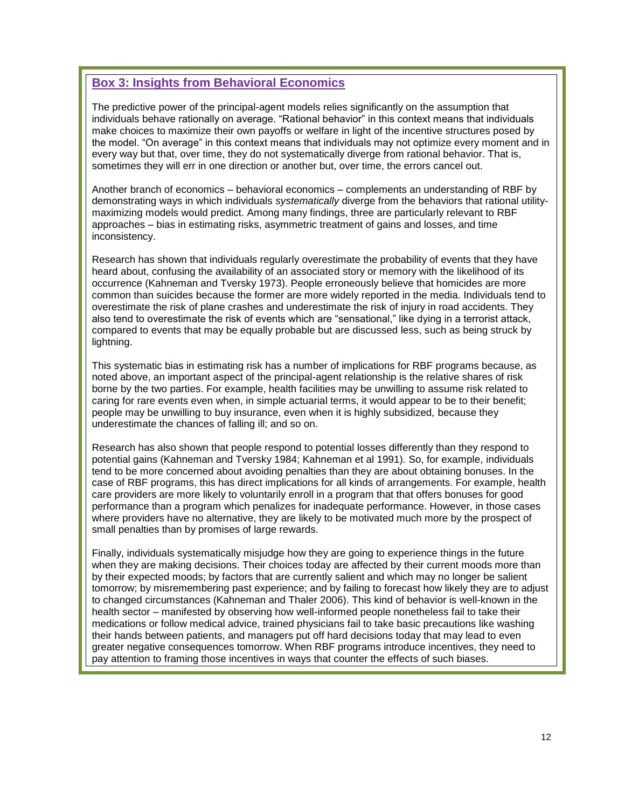## **Box 3: Insights from Behavioral Economics**

The predictive power of the principal-agent models relies significantly on the assumption that individuals behave rationally on average. "Rational behavior" in this context means that individuals make choices to maximize their own payoffs or welfare in light of the incentive structures posed by the model. "On average" in this context means that individuals may not optimize every moment and in every way but that, over time, they do not systematically diverge from rational behavior. That is, sometimes they will err in one direction or another but, over time, the errors cancel out.

Another branch of economics – behavioral economics – complements an understanding of RBF by demonstrating ways in which individuals *systematically* diverge from the behaviors that rational utilitymaximizing models would predict. Among many findings, three are particularly relevant to RBF approaches – bias in estimating risks, asymmetric treatment of gains and losses, and time inconsistency.

Research has shown that individuals regularly overestimate the probability of events that they have heard about, confusing the availability of an associated story or memory with the likelihood of its occurrence (Kahneman and Tversky 1973). People erroneously believe that homicides are more common than suicides because the former are more widely reported in the media. Individuals tend to overestimate the risk of plane crashes and underestimate the risk of injury in road accidents. They also tend to overestimate the risk of events which are "sensational," like dying in a terrorist attack, compared to events that may be equally probable but are discussed less, such as being struck by lightning.

This systematic bias in estimating risk has a number of implications for RBF programs because, as noted above, an important aspect of the principal-agent relationship is the relative shares of risk borne by the two parties. For example, health facilities may be unwilling to assume risk related to caring for rare events even when, in simple actuarial terms, it would appear to be to their benefit; people may be unwilling to buy insurance, even when it is highly subsidized, because they underestimate the chances of falling ill; and so on.

Research has also shown that people respond to potential losses differently than they respond to potential gains (Kahneman and Tversky 1984; Kahneman et al 1991). So, for example, individuals tend to be more concerned about avoiding penalties than they are about obtaining bonuses. In the case of RBF programs, this has direct implications for all kinds of arrangements. For example, health care providers are more likely to voluntarily enroll in a program that that offers bonuses for good performance than a program which penalizes for inadequate performance. However, in those cases where providers have no alternative, they are likely to be motivated much more by the prospect of small penalties than by promises of large rewards.

Finally, individuals systematically misjudge how they are going to experience things in the future when they are making decisions. Their choices today are affected by their current moods more than by their expected moods; by factors that are currently salient and which may no longer be salient tomorrow; by misremembering past experience; and by failing to forecast how likely they are to adjust to changed circumstances (Kahneman and Thaler 2006). This kind of behavior is well-known in the health sector – manifested by observing how well-informed people nonetheless fail to take their medications or follow medical advice, trained physicians fail to take basic precautions like washing their hands between patients, and managers put off hard decisions today that may lead to even greater negative consequences tomorrow. When RBF programs introduce incentives, they need to pay attention to framing those incentives in ways that counter the effects of such biases.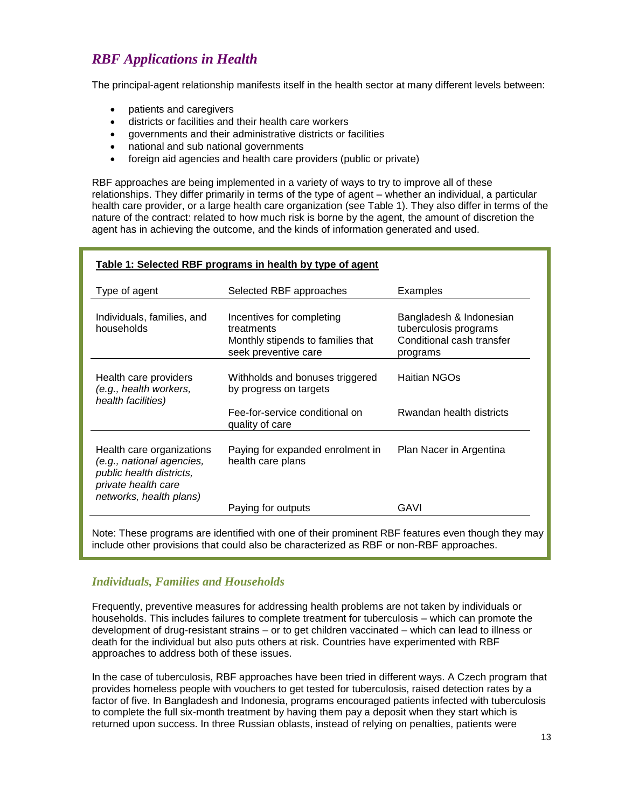# <span id="page-12-0"></span>*RBF Applications in Health*

The principal-agent relationship manifests itself in the health sector at many different levels between:

- patients and caregivers
- districts or facilities and their health care workers
- governments and their administrative districts or facilities
- national and sub national governments
- foreign aid agencies and health care providers (public or private)

RBF approaches are being implemented in a variety of ways to try to improve all of these relationships. They differ primarily in terms of the type of agent – whether an individual, a particular health care provider, or a large health care organization (see Table 1). They also differ in terms of the nature of the contract: related to how much risk is borne by the agent, the amount of discretion the agent has in achieving the outcome, and the kinds of information generated and used.

| Table 1: Selected RBF programs in health by type of agent                                                                            |                                                                                                      |                                                                                           |
|--------------------------------------------------------------------------------------------------------------------------------------|------------------------------------------------------------------------------------------------------|-------------------------------------------------------------------------------------------|
| Type of agent                                                                                                                        | Selected RBF approaches                                                                              | Examples                                                                                  |
| Individuals, families, and<br>households                                                                                             | Incentives for completing<br>treatments<br>Monthly stipends to families that<br>seek preventive care | Bangladesh & Indonesian<br>tuberculosis programs<br>Conditional cash transfer<br>programs |
| Health care providers<br>(e.g., health workers,<br>health facilities)                                                                | Withholds and bonuses triggered<br>by progress on targets                                            | Haitian NGOs                                                                              |
|                                                                                                                                      | Fee-for-service conditional on<br>quality of care                                                    | Rwandan health districts                                                                  |
| Health care organizations<br>(e.g., national agencies,<br>public health districts,<br>private health care<br>networks, health plans) | Paying for expanded enrolment in<br>health care plans                                                | Plan Nacer in Argentina                                                                   |
|                                                                                                                                      | Paying for outputs                                                                                   | GAVI                                                                                      |

Note: These programs are identified with one of their prominent RBF features even though they may include other provisions that could also be characterized as RBF or non-RBF approaches.

### <span id="page-12-1"></span>*Individuals, Families and Households*

Frequently, preventive measures for addressing health problems are not taken by individuals or households. This includes failures to complete treatment for tuberculosis – which can promote the development of drug-resistant strains – or to get children vaccinated – which can lead to illness or death for the individual but also puts others at risk. Countries have experimented with RBF approaches to address both of these issues.

In the case of tuberculosis, RBF approaches have been tried in different ways. A Czech program that provides homeless people with vouchers to get tested for tuberculosis, raised detection rates by a factor of five. In Bangladesh and Indonesia, programs encouraged patients infected with tuberculosis to complete the full six-month treatment by having them pay a deposit when they start which is returned upon success. In three Russian oblasts, instead of relying on penalties, patients were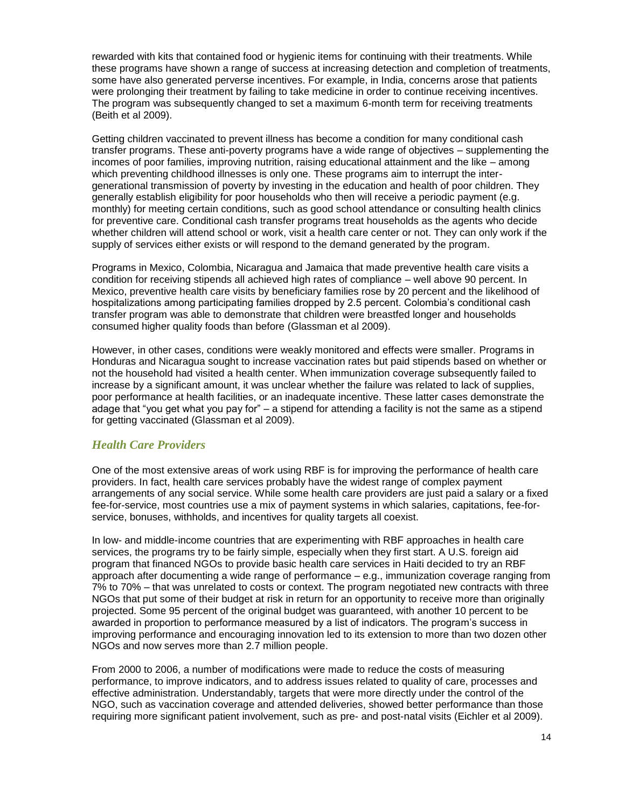rewarded with kits that contained food or hygienic items for continuing with their treatments. While these programs have shown a range of success at increasing detection and completion of treatments, some have also generated perverse incentives. For example, in India, concerns arose that patients were prolonging their treatment by failing to take medicine in order to continue receiving incentives. The program was subsequently changed to set a maximum 6-month term for receiving treatments (Beith et al 2009).

Getting children vaccinated to prevent illness has become a condition for many conditional cash transfer programs. These anti-poverty programs have a wide range of objectives – supplementing the incomes of poor families, improving nutrition, raising educational attainment and the like – among which preventing childhood illnesses is only one. These programs aim to interrupt the intergenerational transmission of poverty by investing in the education and health of poor children. They generally establish eligibility for poor households who then will receive a periodic payment (e.g. monthly) for meeting certain conditions, such as good school attendance or consulting health clinics for preventive care. Conditional cash transfer programs treat households as the agents who decide whether children will attend school or work, visit a health care center or not. They can only work if the supply of services either exists or will respond to the demand generated by the program.

Programs in Mexico, Colombia, Nicaragua and Jamaica that made preventive health care visits a condition for receiving stipends all achieved high rates of compliance – well above 90 percent. In Mexico, preventive health care visits by beneficiary families rose by 20 percent and the likelihood of hospitalizations among participating families dropped by 2.5 percent. Colombia's conditional cash transfer program was able to demonstrate that children were breastfed longer and households consumed higher quality foods than before (Glassman et al 2009).

However, in other cases, conditions were weakly monitored and effects were smaller. Programs in Honduras and Nicaragua sought to increase vaccination rates but paid stipends based on whether or not the household had visited a health center. When immunization coverage subsequently failed to increase by a significant amount, it was unclear whether the failure was related to lack of supplies, poor performance at health facilities, or an inadequate incentive. These latter cases demonstrate the adage that "you get what you pay for" – a stipend for attending a facility is not the same as a stipend for getting vaccinated (Glassman et al 2009).

### <span id="page-13-0"></span>*Health Care Providers*

One of the most extensive areas of work using RBF is for improving the performance of health care providers. In fact, health care services probably have the widest range of complex payment arrangements of any social service. While some health care providers are just paid a salary or a fixed fee-for-service, most countries use a mix of payment systems in which salaries, capitations, fee-forservice, bonuses, withholds, and incentives for quality targets all coexist.

In low- and middle-income countries that are experimenting with RBF approaches in health care services, the programs try to be fairly simple, especially when they first start. A U.S. foreign aid program that financed NGOs to provide basic health care services in Haiti decided to try an RBF approach after documenting a wide range of performance – e.g., immunization coverage ranging from 7% to 70% – that was unrelated to costs or context. The program negotiated new contracts with three NGOs that put some of their budget at risk in return for an opportunity to receive more than originally projected. Some 95 percent of the original budget was guaranteed, with another 10 percent to be awarded in proportion to performance measured by a list of indicators. The program"s success in improving performance and encouraging innovation led to its extension to more than two dozen other NGOs and now serves more than 2.7 million people.

From 2000 to 2006, a number of modifications were made to reduce the costs of measuring performance, to improve indicators, and to address issues related to quality of care, processes and effective administration. Understandably, targets that were more directly under the control of the NGO, such as vaccination coverage and attended deliveries, showed better performance than those requiring more significant patient involvement, such as pre- and post-natal visits (Eichler et al 2009).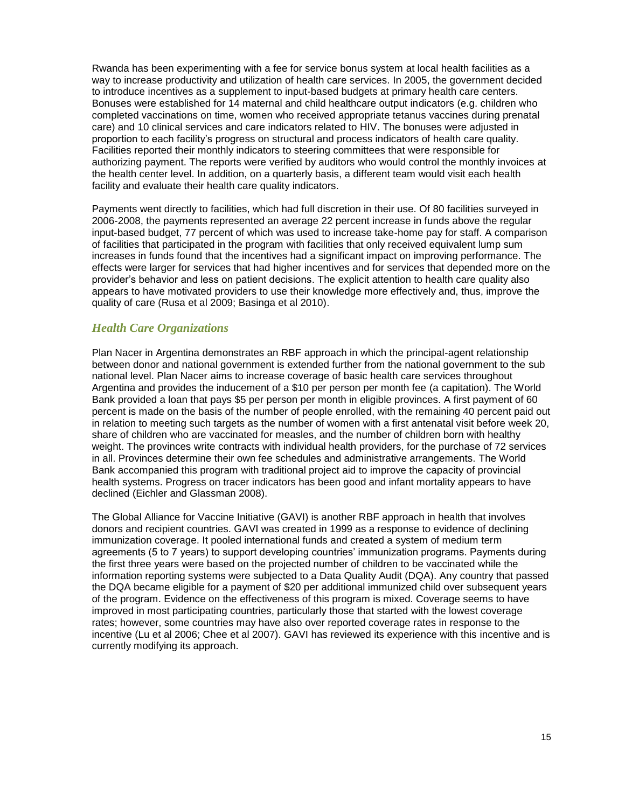Rwanda has been experimenting with a fee for service bonus system at local health facilities as a way to increase productivity and utilization of health care services. In 2005, the government decided to introduce incentives as a supplement to input-based budgets at primary health care centers. Bonuses were established for 14 maternal and child healthcare output indicators (e.g. children who completed vaccinations on time, women who received appropriate tetanus vaccines during prenatal care) and 10 clinical services and care indicators related to HIV. The bonuses were adjusted in proportion to each facility"s progress on structural and process indicators of health care quality. Facilities reported their monthly indicators to steering committees that were responsible for authorizing payment. The reports were verified by auditors who would control the monthly invoices at the health center level. In addition, on a quarterly basis, a different team would visit each health facility and evaluate their health care quality indicators.

Payments went directly to facilities, which had full discretion in their use. Of 80 facilities surveyed in 2006-2008, the payments represented an average 22 percent increase in funds above the regular input-based budget, 77 percent of which was used to increase take-home pay for staff. A comparison of facilities that participated in the program with facilities that only received equivalent lump sum increases in funds found that the incentives had a significant impact on improving performance. The effects were larger for services that had higher incentives and for services that depended more on the provider"s behavior and less on patient decisions. The explicit attention to health care quality also appears to have motivated providers to use their knowledge more effectively and, thus, improve the quality of care (Rusa et al 2009; Basinga et al 2010).

### <span id="page-14-0"></span>*Health Care Organizations*

Plan Nacer in Argentina demonstrates an RBF approach in which the principal-agent relationship between donor and national government is extended further from the national government to the sub national level. Plan Nacer aims to increase coverage of basic health care services throughout Argentina and provides the inducement of a \$10 per person per month fee (a capitation). The World Bank provided a loan that pays \$5 per person per month in eligible provinces. A first payment of 60 percent is made on the basis of the number of people enrolled, with the remaining 40 percent paid out in relation to meeting such targets as the number of women with a first antenatal visit before week 20, share of children who are vaccinated for measles, and the number of children born with healthy weight. The provinces write contracts with individual health providers, for the purchase of 72 services in all. Provinces determine their own fee schedules and administrative arrangements. The World Bank accompanied this program with traditional project aid to improve the capacity of provincial health systems. Progress on tracer indicators has been good and infant mortality appears to have declined (Eichler and Glassman 2008).

The Global Alliance for Vaccine Initiative (GAVI) is another RBF approach in health that involves donors and recipient countries. GAVI was created in 1999 as a response to evidence of declining immunization coverage. It pooled international funds and created a system of medium term agreements (5 to 7 years) to support developing countries" immunization programs. Payments during the first three years were based on the projected number of children to be vaccinated while the information reporting systems were subjected to a Data Quality Audit (DQA). Any country that passed the DQA became eligible for a payment of \$20 per additional immunized child over subsequent years of the program. Evidence on the effectiveness of this program is mixed. Coverage seems to have improved in most participating countries, particularly those that started with the lowest coverage rates; however, some countries may have also over reported coverage rates in response to the incentive (Lu et al 2006; Chee et al 2007). GAVI has reviewed its experience with this incentive and is currently modifying its approach.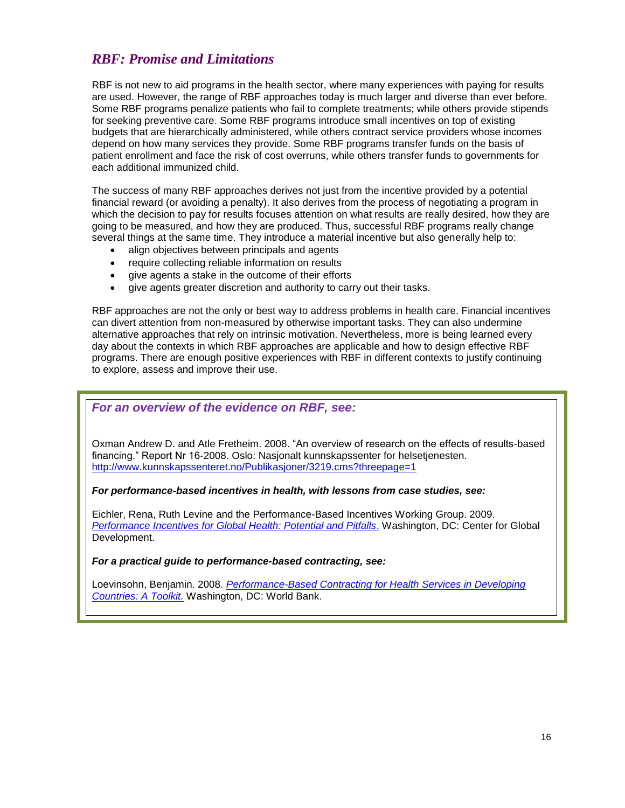# <span id="page-15-0"></span>*RBF: Promise and Limitations*

RBF is not new to aid programs in the health sector, where many experiences with paying for results are used. However, the range of RBF approaches today is much larger and diverse than ever before. Some RBF programs penalize patients who fail to complete treatments; while others provide stipends for seeking preventive care. Some RBF programs introduce small incentives on top of existing budgets that are hierarchically administered, while others contract service providers whose incomes depend on how many services they provide. Some RBF programs transfer funds on the basis of patient enrollment and face the risk of cost overruns, while others transfer funds to governments for each additional immunized child.

The success of many RBF approaches derives not just from the incentive provided by a potential financial reward (or avoiding a penalty). It also derives from the process of negotiating a program in which the decision to pay for results focuses attention on what results are really desired, how they are going to be measured, and how they are produced. Thus, successful RBF programs really change several things at the same time. They introduce a material incentive but also generally help to:

- align objectives between principals and agents
- require collecting reliable information on results
- give agents a stake in the outcome of their efforts
- give agents greater discretion and authority to carry out their tasks.

RBF approaches are not the only or best way to address problems in health care. Financial incentives can divert attention from non-measured by otherwise important tasks. They can also undermine alternative approaches that rely on intrinsic motivation. Nevertheless, more is being learned every day about the contexts in which RBF approaches are applicable and how to design effective RBF programs. There are enough positive experiences with RBF in different contexts to justify continuing to explore, assess and improve their use.

### *For an overview of the evidence on RBF, see:*

Oxman Andrew D. and Atle Fretheim. 2008. "An overview of research on the effects of results-based financing." Report Nr 16-2008. Oslo: Nasjonalt kunnskapssenter for helsetjenesten. <http://www.kunnskapssenteret.no/Publikasjoner/3219.cms?threepage=1>

#### *For performance-based incentives in health, with lessons from case studies, see:*

Eichler, Rena, Ruth Levine and the Performance-Based Incentives Working Group. 2009. *[Performance Incentives for Global Health: Potential and Pitfalls](http://www.rbfhealth.org/rbfhealth/library/doc/180/performance-incentives-global-health-potential-and-pitfalls)*. Washington, DC: Center for Global Development.

#### *For a practical guide to performance-based contracting, see:*

Loevinsohn, Benjamin. 2008. *[Performance-Based Contracting for Health Services in Developing](http://www.rbfhealth.org/rbfhealth/library/doc/performance-based-contracting-health-services-developing-countries-toolkit)  [Countries: A Toolkit.](http://www.rbfhealth.org/rbfhealth/library/doc/performance-based-contracting-health-services-developing-countries-toolkit)* Washington, DC: World Bank.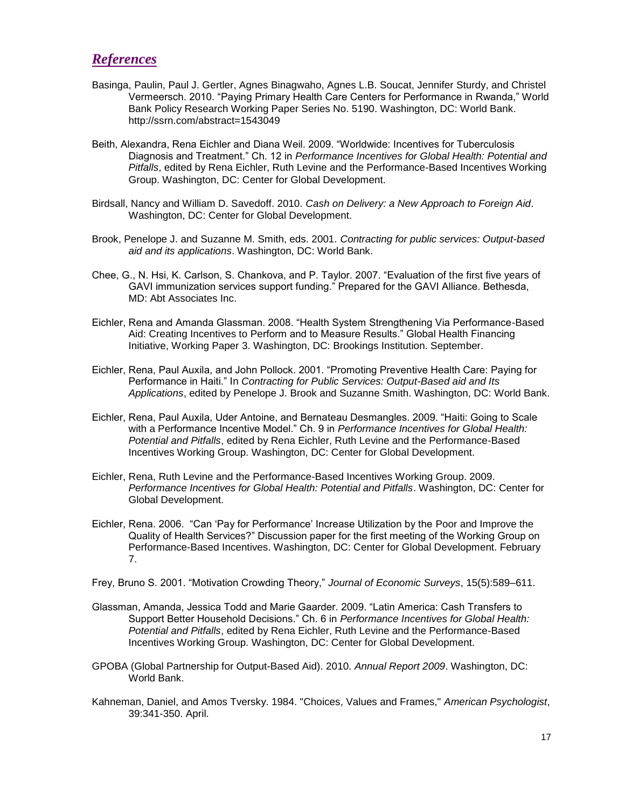### <span id="page-16-0"></span>*References*

- Basinga, Paulin, Paul J. Gertler, Agnes Binagwaho, Agnes L.B. Soucat, Jennifer Sturdy, and Christel Vermeersch. 2010. "Paying Primary Health Care Centers for Performance in Rwanda," World Bank Policy Research Working Paper Series No. 5190. Washington, DC: World Bank. http://ssrn.com/abstract=1543049
- Beith, Alexandra, Rena Eichler and Diana Weil. 2009. "Worldwide: Incentives for Tuberculosis Diagnosis and Treatment." Ch. 12 in *Performance Incentives for Global Health: Potential and Pitfalls*, edited by Rena Eichler, Ruth Levine and the Performance-Based Incentives Working Group. Washington, DC: Center for Global Development.
- Birdsall, Nancy and William D. Savedoff. 2010. *Cash on Delivery: a New Approach to Foreign Aid*. Washington, DC: Center for Global Development.
- Brook, Penelope J. and Suzanne M. Smith, eds. 2001*. Contracting for public services: Output-based aid and its applications*. Washington, DC: World Bank.
- Chee, G., N. Hsi, K. Carlson, S. Chankova, and P. Taylor. 2007. "Evaluation of the first five years of GAVI immunization services support funding." Prepared for the GAVI Alliance. Bethesda, MD: Abt Associates Inc.
- Eichler, Rena and Amanda Glassman. 2008. "Health System Strengthening Via Performance-Based Aid: Creating Incentives to Perform and to Measure Results." Global Health Financing Initiative, Working Paper 3. Washington, DC: Brookings Institution. September.
- Eichler, Rena, Paul Auxila, and John Pollock. 2001. "Promoting Preventive Health Care: Paying for Performance in Haiti." In *Contracting for Public Services: Output-Based aid and Its Applications*, edited by Penelope J. Brook and Suzanne Smith. Washington, DC: World Bank.
- Eichler, Rena, Paul Auxila, Uder Antoine, and Bernateau Desmangles. 2009. "Haiti: Going to Scale with a Performance Incentive Model." Ch. 9 in *Performance Incentives for Global Health: Potential and Pitfalls*, edited by Rena Eichler, Ruth Levine and the Performance-Based Incentives Working Group. Washington, DC: Center for Global Development.
- Eichler, Rena, Ruth Levine and the Performance-Based Incentives Working Group. 2009. *Performance Incentives for Global Health: Potential and Pitfalls*. Washington, DC: Center for Global Development.
- Eichler, Rena. 2006. "Can "Pay for Performance" Increase Utilization by the Poor and Improve the Quality of Health Services?" Discussion paper for the first meeting of the Working Group on Performance-Based Incentives. Washington, DC: Center for Global Development. February 7.

Frey, Bruno S. 2001. "Motivation Crowding Theory," *Journal of Economic Surveys*, 15(5):589–611.

- Glassman, Amanda, Jessica Todd and Marie Gaarder. 2009. "Latin America: Cash Transfers to Support Better Household Decisions." Ch. 6 in *Performance Incentives for Global Health: Potential and Pitfalls*, edited by Rena Eichler, Ruth Levine and the Performance-Based Incentives Working Group. Washington, DC: Center for Global Development.
- GPOBA (Global Partnership for Output-Based Aid). 2010. *Annual Report 2009*. Washington, DC: World Bank.
- Kahneman, Daniel, and Amos Tversky. 1984. "Choices, Values and Frames," *American Psychologist*, 39:341-350. April.